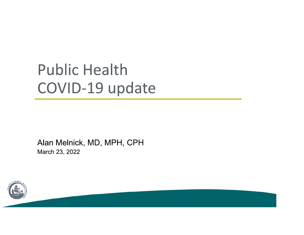# **Public Health** COVID-19 update

Alan Melnick, MD, MPH, CPH March 23, 2022

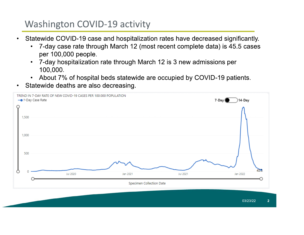## **Washington COVID-19 activity**

- Statewide COVID-19 case and hospitalization rates have decreased significantly.
	- 7-day case rate through March 12 (most recent complete data) is 45.5 cases  $\bullet$ per 100,000 people.
	- 7-day hospitalization rate through March 12 is 3 new admissions per  $\bullet$ 100,000.
	- About 7% of hospital beds statewide are occupied by COVID-19 patients.  $\bullet$
- Statewide deaths are also decreasing.

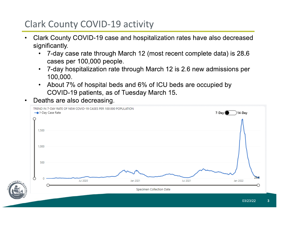# **Clark County COVID-19 activity**

- Clark County COVID-19 case and hospitalization rates have also decreased significantly.
	- 7-day case rate through March 12 (most recent complete data) is 28.6 cases per 100,000 people.
	- 7-day hospitalization rate through March 12 is 2.6 new admissions per  $\bullet$ 100,000.
	- About 7% of hospital beds and 6% of ICU beds are occupied by  $\bullet$ COVID-19 patients, as of Tuesday March 15.
- Deaths are also decreasing.

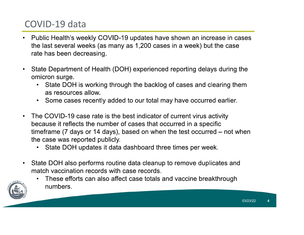# COVID-19 data

- Public Health's weekly COVID-19 updates have shown an increase in cases the last several weeks (as many as 1,200 cases in a week) but the case rate has been decreasing.
- State Department of Health (DOH) experienced reporting delays during the  $\bullet$ omicron surge.
	- State DOH is working through the backlog of cases and clearing them as resources allow.
	- Some cases recently added to our total may have occurred earlier.
- The COVID-19 case rate is the best indicator of current virus activity  $\bullet$ because it reflects the number of cases that occurred in a specific timeframe ( $\frac{7}{2}$  days or 14 days), based on when the test occurred  $-$  not when the case was reported publicly.
	- State DOH updates it data dashboard three times per week.
- State DOH also performs routine data cleanup to remove duplicates and  $\bullet$ match vaccination records with case records.





03/23/22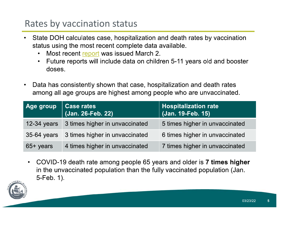#### Rates by vaccination status

- State DOH calculates case, hospitalization and death rates by vaccination status using the most recent complete data available.
	- Most recent report was issued March 2.
	- Future reports will include data on children 5-11 years old and booster doses.
- Data has consistently shown that case, hospitalization and death rates among all age groups are highest among people who are unvaccinated.

|               | Age group   Case rates<br>  (Jan. 26-Feb. 22) | <b>Hospitalization rate</b><br>(Jan. 19-Feb. 15) |
|---------------|-----------------------------------------------|--------------------------------------------------|
| $12-34$ years | 3 times higher in unvaccinated                | 5 times higher in unvaccinated                   |
|               | 35-64 years 3 times higher in unvaccinated    | 6 times higher in unvaccinated                   |
| $65+$ years   | 4 times higher in unvaccinated                | 7 times higher in unvaccinated                   |

• COVID-19 death rate among people 65 years and older is 7 times higher in the unvaccinated population than the fully vaccinated population (Jan. 5-Feb. 1).



03/23/22  $5<sub>5</sub>$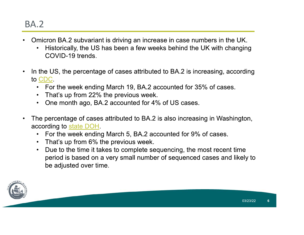- Omicron BA.2 subvariant is driving an increase in case numbers in the UK.  $\bullet$ 
	- Historically, the US has been a few weeks behind the UK with changing COVID-19 trends.
- In the US, the percentage of cases attributed to BA.2 is increasing, according  $\bullet$ to CDC.
	- For the week ending March 19, BA.2 accounted for 35% of cases.
	- That's up from 22% the previous week.
	- One month ago, BA.2 accounted for 4% of US cases.
- The percentage of cases attributed to BA.2 is also increasing in Washington,  $\bullet$ according to state DOH.
	- For the week ending March 5, BA.2 accounted for 9% of cases.
	- That's up from 6% the previous week.
	- Due to the time it takes to complete sequencing, the most recent time  $\bullet$ period is based on a very small number of sequenced cases and likely to be adjusted over time.

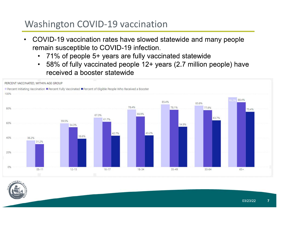#### **Washington COVID-19 vaccination**

- COVID-19 vaccination rates have slowed statewide and many people remain susceptible to COVID-19 infection.
	- 71% of people 5+ years are fully vaccinated statewide
	- 58% of fully vaccinated people 12+ years (2.7 million people) have received a booster statewide



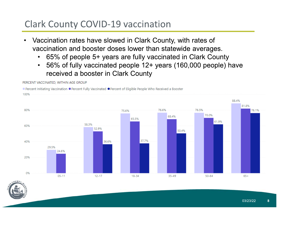## **Clark County COVID-19 vaccination**

- Vaccination rates have slowed in Clark County, with rates of  $\bullet$ vaccination and booster doses lower than statewide averages.
	- 65% of people 5+ years are fully vaccinated in Clark County
	- 56% of fully vaccinated people 12+ years (160,000 people) have  $\bullet$ received a booster in Clark County



PERCENT VACCINATED, WITHIN AGE GROUP

03/23/22 8